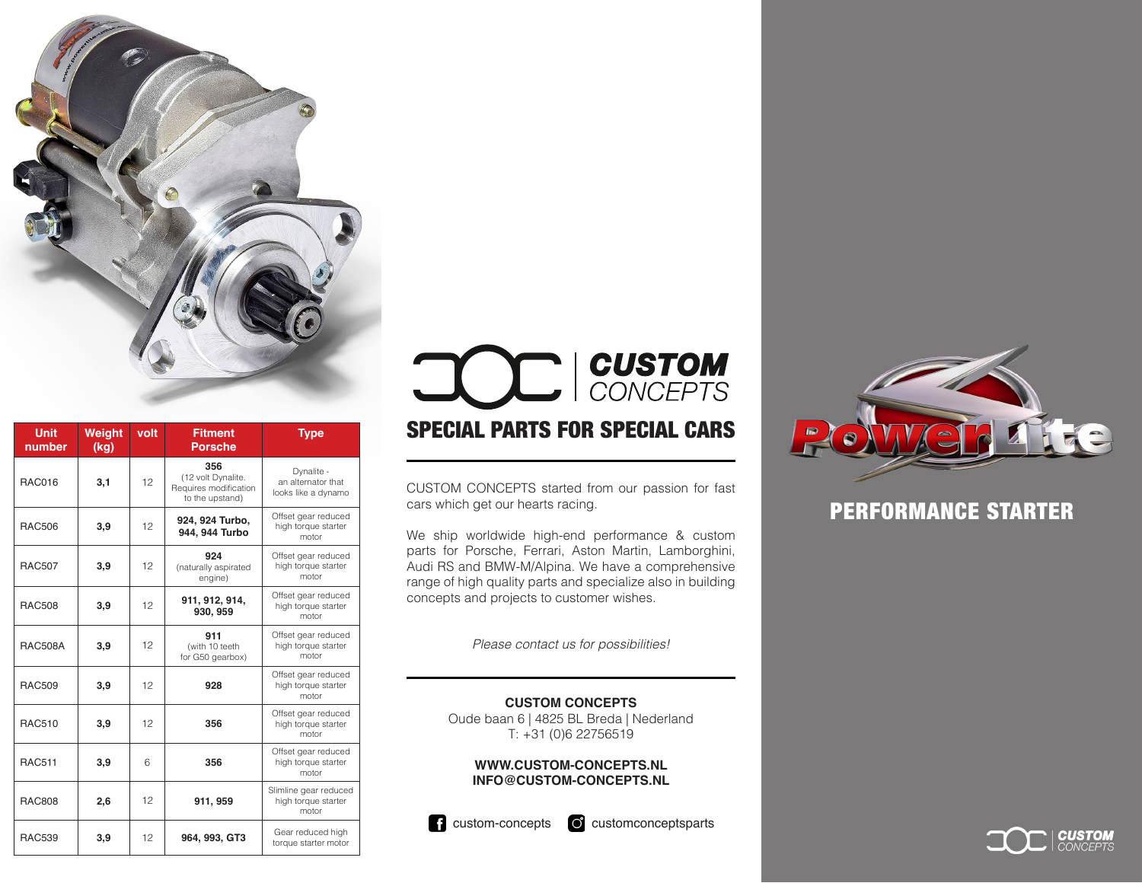

| <b>Unit</b><br>number | <b>Weight</b><br>(kg) | volt | <b>Fitment</b><br><b>Porsche</b>                                      | <b>Type</b>                                             |
|-----------------------|-----------------------|------|-----------------------------------------------------------------------|---------------------------------------------------------|
| <b>RAC016</b>         | 3,1                   | 12   | 356<br>(12 volt Dynalite.<br>Requires modification<br>to the upstand) | Dynalite -<br>an alternator that<br>looks like a dynamo |
| <b>RAC506</b>         | 3,9                   | 12   | 924, 924 Turbo,<br>944, 944 Turbo                                     | Offset gear reduced<br>high torque starter<br>motor     |
| <b>RAC507</b>         | 3,9                   | 12   | 924<br>(naturally aspirated<br>engine)                                | Offset gear reduced<br>high torque starter<br>motor     |
| <b>RAC508</b>         | 3,9                   | 12   | 911, 912, 914,<br>930, 959                                            | Offset gear reduced<br>high torque starter<br>motor     |
| <b>RAC508A</b>        | 3,9                   | 12   | 911<br>(with 10 teeth<br>for G50 gearbox)                             | Offset gear reduced<br>high torque starter<br>motor     |
| <b>RAC509</b>         | 3,9                   | 12   | 928                                                                   | Offset gear reduced<br>high torque starter<br>motor     |
| <b>RAC510</b>         | 3,9                   | 12   | 356                                                                   | Offset gear reduced<br>high torque starter<br>motor     |
| <b>RAC511</b>         | 3,9                   | 6    | 356                                                                   | Offset gear reduced<br>high torque starter<br>motor     |
| <b>RAC808</b>         | 2,6                   | 12   | 911, 959                                                              | Slimline gear reduced<br>high torque starter<br>motor   |
| <b>RAC539</b>         | 3,9                   | 12   | 964, 993, GT3                                                         | Gear reduced high<br>torque starter motor               |

# **CUSTOM** CONCEPTS SPECIAL PARTS FOR SPECIAL CARS

CUSTOM CONCEPTS started from our passion for fast cars which get our hearts racing.

We ship worldwide high-end performance & custom parts for Porsche, Ferrari, Aston Martin, Lamborghini, Audi RS and BMW-M/Alpina. We have a comprehensive range of high quality parts and specialize also in building concepts and projects to customer wishes.

*Please contact us for possibilities!*

#### **CUSTOM CONCEPTS**

Oude baan 6 | 4825 BL Breda | Nederland T: +31 (0)6 22756519

#### **WWW.CUSTOM-CONCEPTS.NL INFO@CUSTOM-CONCEPTS.NL**



**c** custom-concepts **c** customconceptsparts



## PERFORMANCE STARTER